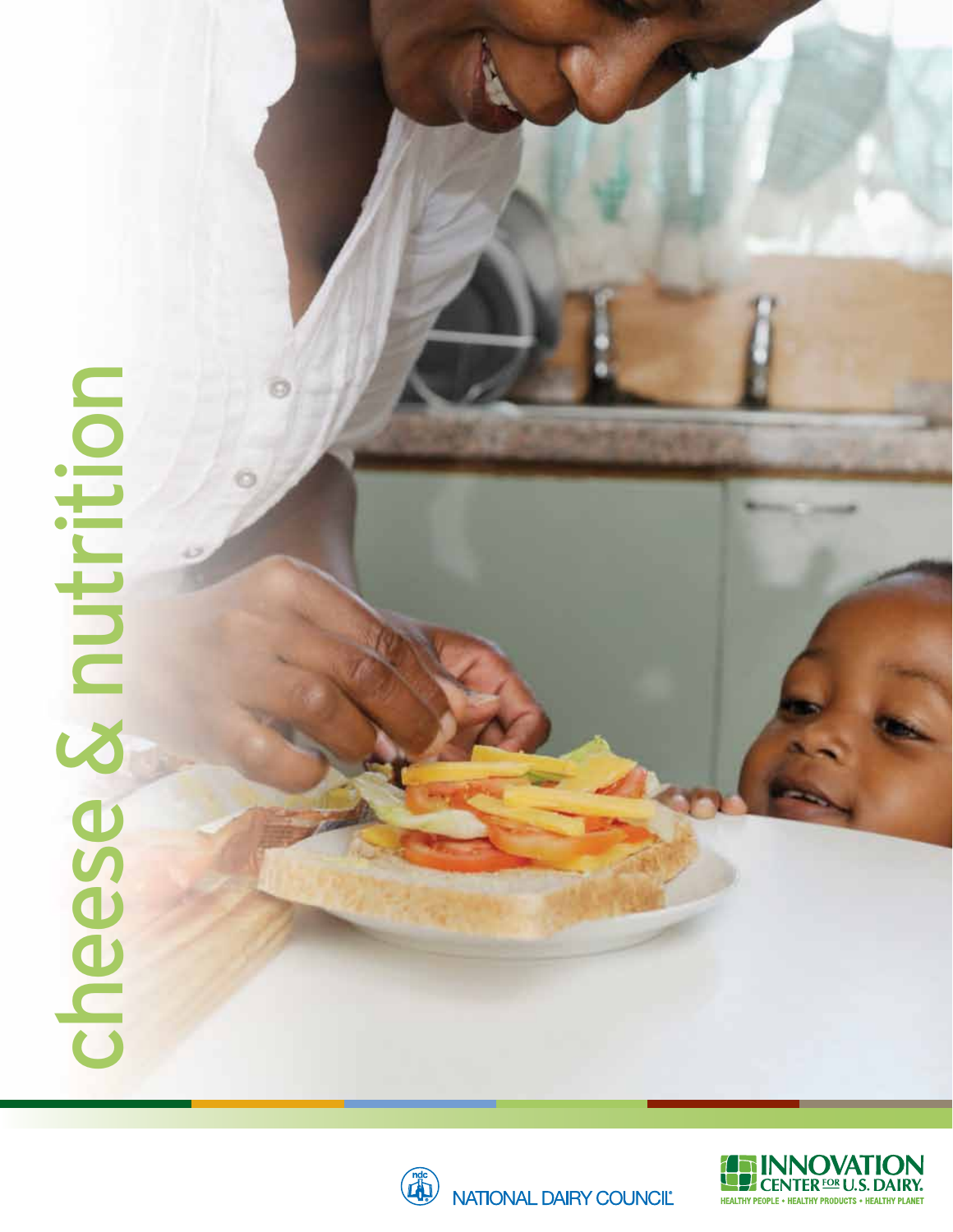# cheese & nutrition cheese & nutrition



NATIONAL DAIRY COUNCIL

**Section** 

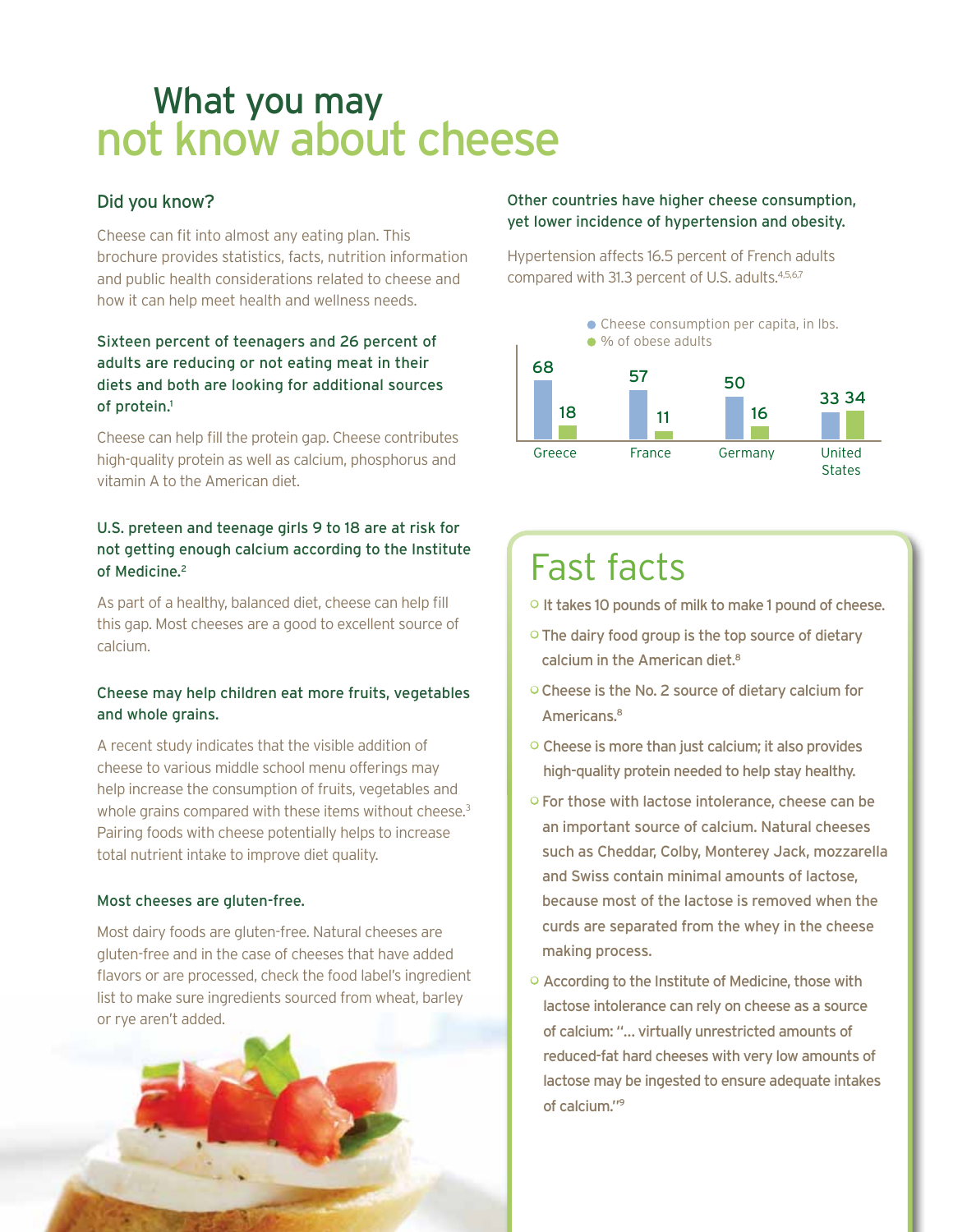# What you may not know about cheese

#### Did you know?

Cheese can fit into almost any eating plan. This brochure provides statistics, facts, nutrition information and public health considerations related to cheese and how it can help meet health and wellness needs.

#### Sixteen percent of teenagers and 26 percent of adults are reducing or not eating meat in their diets and both are looking for additional sources of protein.1

Cheese can help fill the protein gap. Cheese contributes high-quality protein as well as calcium, phosphorus and vitamin A to the American diet.

#### U.S. preteen and teenage girls 9 to 18 are at risk for not getting enough calcium according to the Institute of Medicine.<sup>2</sup>

As part of a healthy, balanced diet, cheese can help fill this gap. Most cheeses are a good to excellent source of calcium.

#### Cheese may help children eat more fruits, vegetables and whole grains.

A recent study indicates that the visible addition of cheese to various middle school menu offerings may help increase the consumption of fruits, vegetables and whole grains compared with these items without cheese.<sup>3</sup> Pairing foods with cheese potentially helps to increase total nutrient intake to improve diet quality.

#### Most cheeses are gluten-free.

Most dairy foods are gluten-free. Natural cheeses are gluten-free and in the case of cheeses that have added flavors or are processed, check the food label's ingredient list to make sure ingredients sourced from wheat, barley or rye aren't added.



#### Other countries have higher cheese consumption, yet lower incidence of hypertension and obesity.

Hypertension affects 16.5 percent of French adults compared with 31.3 percent of U.S. adults.<sup>4,5,6,7</sup>



## Fast facts

- <sup>o</sup> It takes 10 pounds of milk to make 1 pound of cheese.
- o The dairy food group is the top source of dietary calcium in the American diet.<sup>8</sup>
- Cheese is the No. 2 source of dietary calcium for Americans.8
- Cheese is more than just calcium; it also provides high-quality protein needed to help stay healthy.
- For those with lactose intolerance, cheese can be an important source of calcium. Natural cheeses such as Cheddar, Colby, Monterey Jack, mozzarella and Swiss contain minimal amounts of lactose, because most of the lactose is removed when the curds are separated from the whey in the cheese making process.
- According to the Institute of Medicine, those with lactose intolerance can rely on cheese as a source of calcium: "… virtually unrestricted amounts of reduced-fat hard cheeses with very low amounts of lactose may be ingested to ensure adequate intakes of calcium."9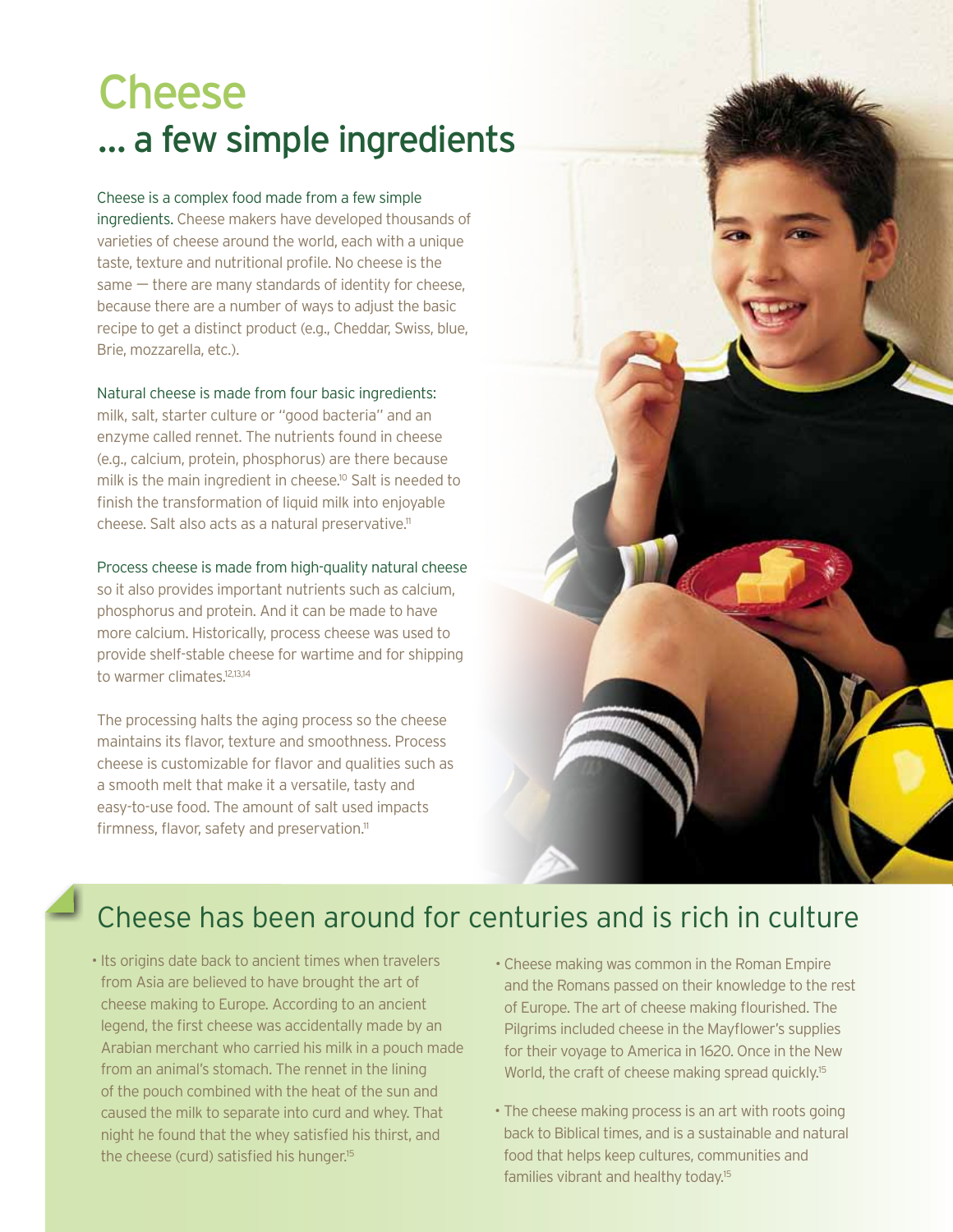# Cheese … a few simple ingredients

Cheese is a complex food made from a few simple ingredients. Cheese makers have developed thousands of varieties of cheese around the world, each with a unique taste, texture and nutritional profile. No cheese is the same — there are many standards of identity for cheese, because there are a number of ways to adjust the basic recipe to get a distinct product (e.g., Cheddar, Swiss, blue, Brie, mozzarella, etc.).

#### Natural cheese is made from four basic ingredients:

milk, salt, starter culture or "good bacteria" and an enzyme called rennet. The nutrients found in cheese (e.g., calcium, protein, phosphorus) are there because milk is the main ingredient in cheese.<sup>10</sup> Salt is needed to finish the transformation of liquid milk into enjoyable cheese. Salt also acts as a natural preservative.<sup>11</sup>

#### Process cheese is made from high-quality natural cheese

so it also provides important nutrients such as calcium, phosphorus and protein. And it can be made to have more calcium. Historically, process cheese was used to provide shelf-stable cheese for wartime and for shipping to warmer climates.<sup>12,13,14</sup>

The processing halts the aging process so the cheese maintains its flavor, texture and smoothness. Process cheese is customizable for flavor and qualities such as a smooth melt that make it a versatile, tasty and easy-to-use food. The amount of salt used impacts firmness, flavor, safety and preservation.<sup>11</sup>



## Cheese has been around for centuries and is rich in culture

- Its origins date back to ancient times when travelers from Asia are believed to have brought the art of cheese making to Europe. According to an ancient legend, the first cheese was accidentally made by an Arabian merchant who carried his milk in a pouch made from an animal's stomach. The rennet in the lining of the pouch combined with the heat of the sun and caused the milk to separate into curd and whey. That night he found that the whey satisfied his thirst, and the cheese (curd) satisfied his hunger.<sup>15</sup>
- Cheese making was common in the Roman Empire and the Romans passed on their knowledge to the rest of Europe. The art of cheese making flourished. The Pilgrims included cheese in the Mayflower's supplies for their voyage to America in 1620. Once in the New World, the craft of cheese making spread quickly.<sup>15</sup>
- The cheese making process is an art with roots going back to Biblical times, and is a sustainable and natural food that helps keep cultures, communities and families vibrant and healthy today.15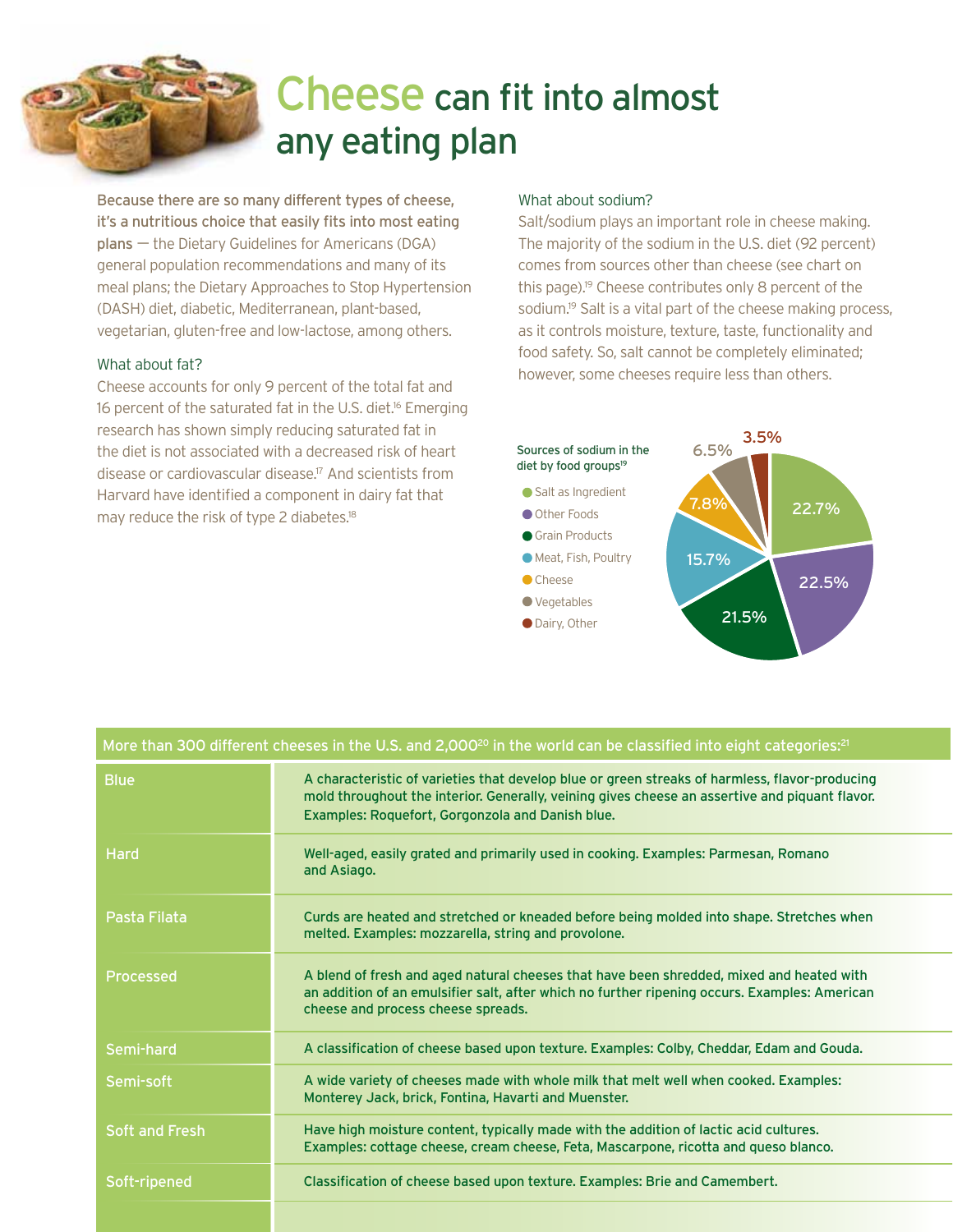# Cheese can fit into almost any eating plan

Because there are so many different types of cheese, it's a nutritious choice that easily fits into most eating plans — the Dietary Guidelines for Americans (DGA) general population recommendations and many of its meal plans; the Dietary Approaches to Stop Hypertension (DASH) diet, diabetic, Mediterranean, plant-based, vegetarian, gluten-free and low-lactose, among others.

#### What about fat?

Cheese accounts for only 9 percent of the total fat and 16 percent of the saturated fat in the U.S. diet.<sup>16</sup> Emerging research has shown simply reducing saturated fat in the diet is not associated with a decreased risk of heart disease or cardiovascular disease.17 And scientists from Harvard have identified a component in dairy fat that may reduce the risk of type 2 diabetes.<sup>18</sup>

#### What about sodium?

Salt/sodium plays an important role in cheese making. The majority of the sodium in the U.S. diet (92 percent) comes from sources other than cheese (see chart on this page).19 Cheese contributes only 8 percent of the sodium.<sup>19</sup> Salt is a vital part of the cheese making process, as it controls moisture, texture, taste, functionality and food safety. So, salt cannot be completely eliminated; however, some cheeses require less than others.



| More than 300 different cheeses in the U.S. and 2,000 <sup>20</sup> in the world can be classified into eight categories: <sup>21</sup> |                                                                                                                                                                                                                                                      |  |  |  |  |  |
|-----------------------------------------------------------------------------------------------------------------------------------------|------------------------------------------------------------------------------------------------------------------------------------------------------------------------------------------------------------------------------------------------------|--|--|--|--|--|
| <b>Blue</b>                                                                                                                             | A characteristic of varieties that develop blue or green streaks of harmless, flavor-producing<br>mold throughout the interior. Generally, veining gives cheese an assertive and piquant flavor.<br>Examples: Roquefort, Gorgonzola and Danish blue. |  |  |  |  |  |
| <b>Hard</b>                                                                                                                             | Well-aged, easily grated and primarily used in cooking. Examples: Parmesan, Romano<br>and Asiago.                                                                                                                                                    |  |  |  |  |  |
| Pasta Filata                                                                                                                            | Curds are heated and stretched or kneaded before being molded into shape. Stretches when<br>melted. Examples: mozzarella, string and provolone.                                                                                                      |  |  |  |  |  |
| <b>Processed</b>                                                                                                                        | A blend of fresh and aged natural cheeses that have been shredded, mixed and heated with<br>an addition of an emulsifier salt, after which no further ripening occurs. Examples: American<br>cheese and process cheese spreads.                      |  |  |  |  |  |
| Semi-hard                                                                                                                               | A classification of cheese based upon texture. Examples: Colby, Cheddar, Edam and Gouda.                                                                                                                                                             |  |  |  |  |  |
| Semi-soft                                                                                                                               | A wide variety of cheeses made with whole milk that melt well when cooked. Examples:<br>Monterey Jack, brick, Fontina, Havarti and Muenster.                                                                                                         |  |  |  |  |  |
| <b>Soft and Fresh</b>                                                                                                                   | Have high moisture content, typically made with the addition of lactic acid cultures.<br>Examples: cottage cheese, cream cheese, Feta, Mascarpone, ricotta and queso blanco.                                                                         |  |  |  |  |  |
| Soft-ripened                                                                                                                            | Classification of cheese based upon texture. Examples: Brie and Camembert.                                                                                                                                                                           |  |  |  |  |  |
|                                                                                                                                         |                                                                                                                                                                                                                                                      |  |  |  |  |  |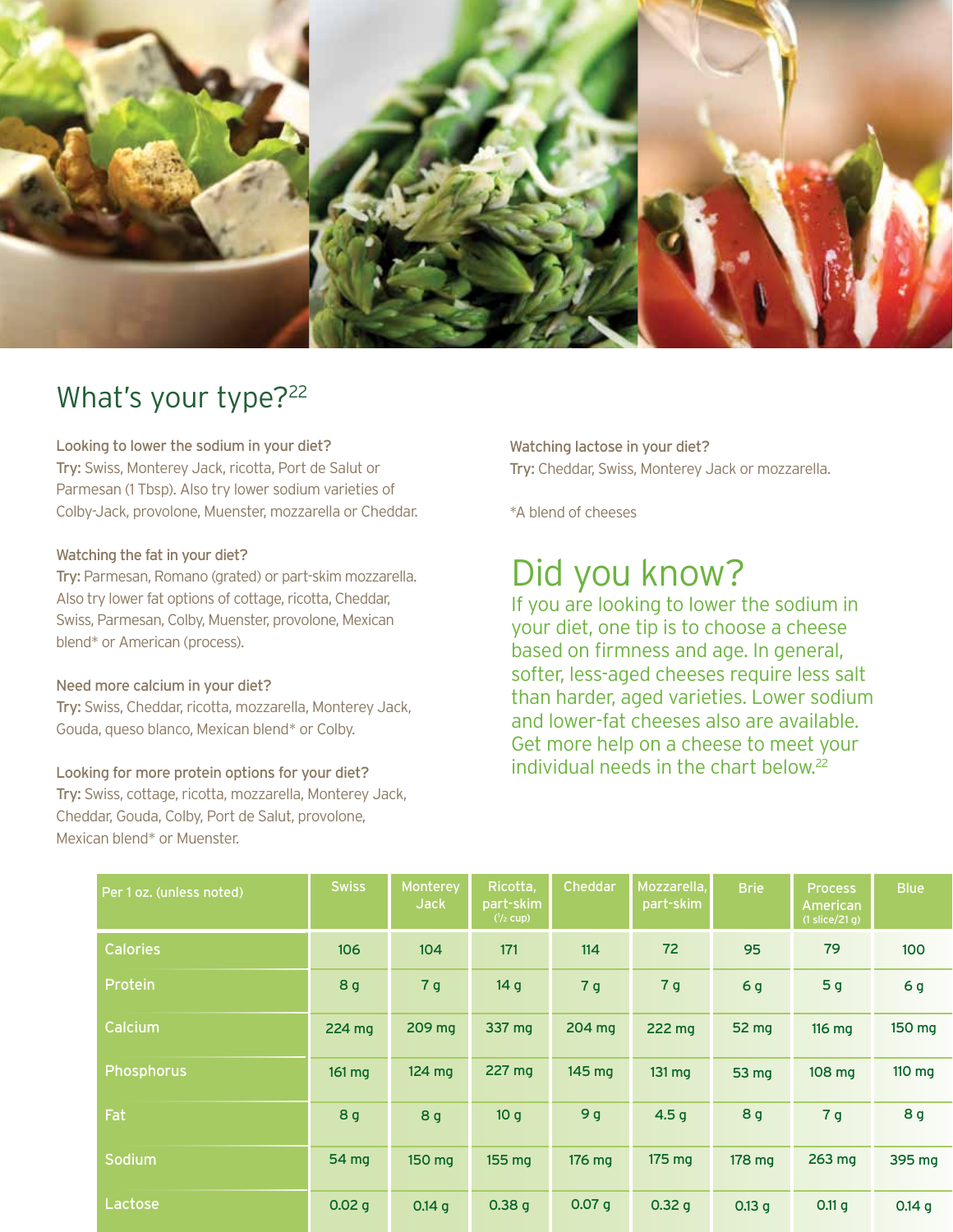

## What's your type?<sup>22</sup>

Looking to lower the sodium in your diet?

Try: Swiss, Monterey Jack, ricotta, Port de Salut or Parmesan (1 Tbsp). Also try lower sodium varieties of Colby-Jack, provolone, Muenster, mozzarella or Cheddar.

#### Watching the fat in your diet?

Try: Parmesan, Romano (grated) or part-skim mozzarella. Also try lower fat options of cottage, ricotta, Cheddar, Swiss, Parmesan, Colby, Muenster, provolone, Mexican blend\* or American (process).

#### Need more calcium in your diet?

Try: Swiss, Cheddar, ricotta, mozzarella, Monterey Jack, Gouda, queso blanco, Mexican blend\* or Colby.

#### Looking for more protein options for your diet?

Try: Swiss, cottage, ricotta, mozzarella, Monterey Jack, Cheddar, Gouda, Colby, Port de Salut, provolone, Mexican blend\* or Muenster.

Watching lactose in your diet? Try: Cheddar, Swiss, Monterey Jack or mozzarella.

\*A blend of cheeses

## Did you know?

If you are looking to lower the sodium in your diet, one tip is to choose a cheese based on firmness and age. In general, softer, less-aged cheeses require less salt than harder, aged varieties. Lower sodium and lower-fat cheeses also are available. Get more help on a cheese to meet your individual needs in the chart below.22

| Per 1 oz. (unless noted) | <b>Swiss</b>   | Monterey<br><b>Jack</b> | Ricotta,<br>part-skim<br>$\frac{1}{2}$ cup) | <b>Cheddar</b> | Mozzarella,<br>part-skim | <b>Brie</b> | Process<br>American<br>$(1$ slice/21 g) | <b>Blue</b>    |
|--------------------------|----------------|-------------------------|---------------------------------------------|----------------|--------------------------|-------------|-----------------------------------------|----------------|
| <b>Calories</b>          | 106            | 104                     | 171                                         | 114            | 72                       | 95          | 79                                      | 100            |
| Protein                  | 8 <sub>g</sub> | 7 <sub>g</sub>          | 14 <sub>g</sub>                             | 7 <sub>g</sub> | 7 <sub>g</sub>           | 6g          | 5 <sub>g</sub>                          | 6 <sub>g</sub> |
| Calcium                  | 224 mg         | 209 mg                  | 337 mg                                      | 204 mg         | 222 mg                   | 52 mg       | 116 mg                                  | 150 mg         |
| <b>Phosphorus</b>        | 161 mg         | $124 \text{ mg}$        | 227 mg                                      | 145 mg         | $131 \text{ mg}$         | 53 mg       | 108 mg                                  | 110 mg         |
| Fat                      | 8 <sub>g</sub> | 8 <sub>g</sub>          | 10 <sub>q</sub>                             | 9 <sub>g</sub> | 4.5 <sub>g</sub>         | 8 g         | 7 <sub>g</sub>                          | 8 g            |
| Sodium                   | 54 mg          | 150 mg                  | 155 mg                                      | 176 mg         | $175 \text{ mg}$         | 178 mg      | 263 mg                                  | 395 mg         |
| Lactose                  | 0.02 g         | 0.14 g                  | 0.38 g                                      | 0.07 g         | 0.32 g                   | 0.13 g      | 0.11 g                                  | 0.14 g         |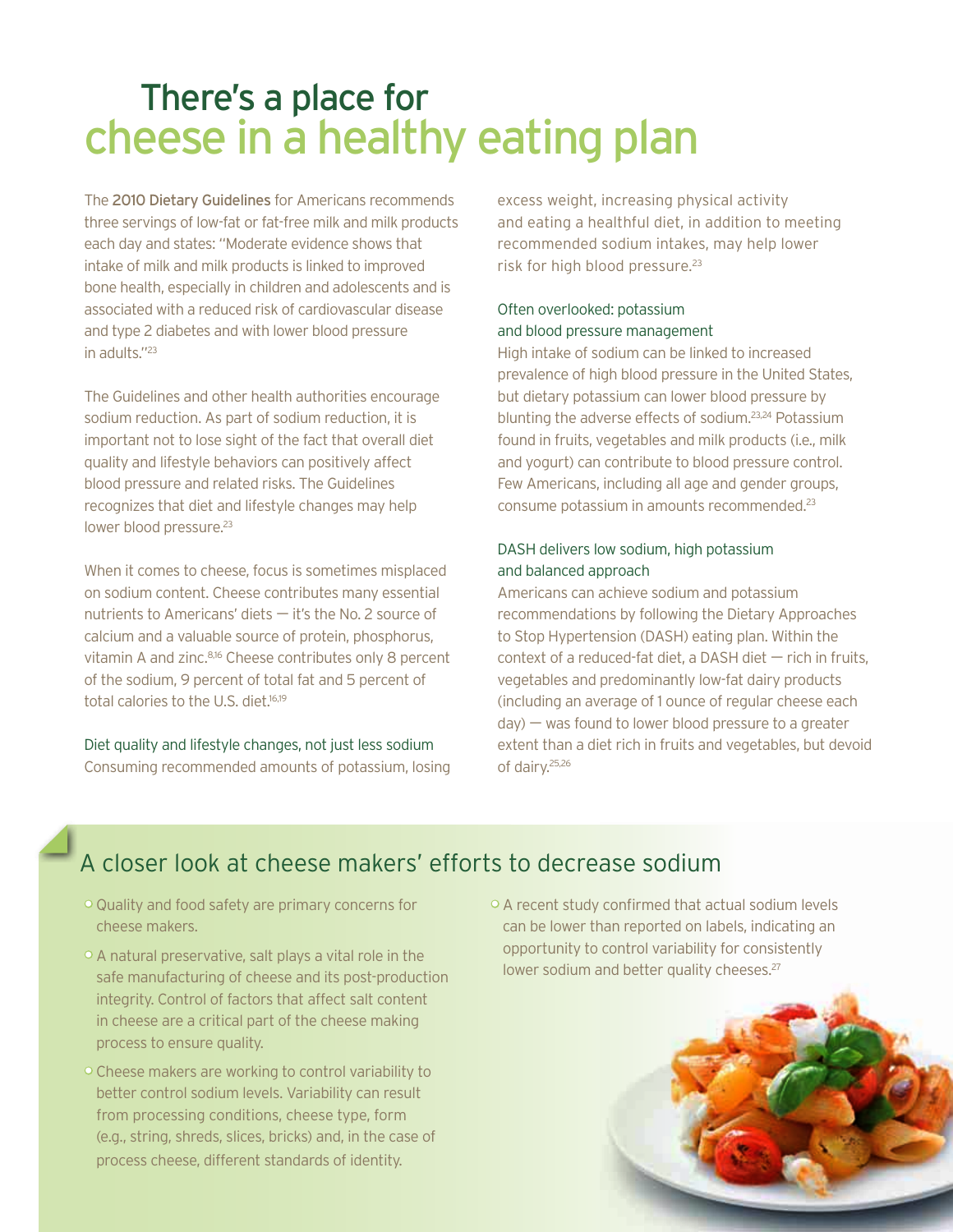# There's a place for cheese in a healthy eating plan

The 2010 Dietary Guidelines for Americans recommends three servings of low-fat or fat-free milk and milk products each day and states: "Moderate evidence shows that intake of milk and milk products is linked to improved bone health, especially in children and adolescents and is associated with a reduced risk of cardiovascular disease and type 2 diabetes and with lower blood pressure in adults."<sup>23</sup>

The Guidelines and other health authorities encourage sodium reduction. As part of sodium reduction, it is important not to lose sight of the fact that overall diet quality and lifestyle behaviors can positively affect blood pressure and related risks. The Guidelines recognizes that diet and lifestyle changes may help lower blood pressure.<sup>23</sup>

When it comes to cheese, focus is sometimes misplaced on sodium content. Cheese contributes many essential nutrients to Americans' diets — it's the No. 2 source of calcium and a valuable source of protein, phosphorus, vitamin A and zinc.<sup>8,16</sup> Cheese contributes only 8 percent of the sodium, 9 percent of total fat and 5 percent of total calories to the U.S. diet.<sup>16,19</sup>

Diet quality and lifestyle changes, not just less sodium Consuming recommended amounts of potassium, losing

excess weight, increasing physical activity and eating a healthful diet, in addition to meeting recommended sodium intakes, may help lower risk for high blood pressure.<sup>23</sup>

#### Often overlooked: potassium and blood pressure management

High intake of sodium can be linked to increased prevalence of high blood pressure in the United States, but dietary potassium can lower blood pressure by blunting the adverse effects of sodium.23,24 Potassium found in fruits, vegetables and milk products (i.e., milk and yogurt) can contribute to blood pressure control. Few Americans, including all age and gender groups, consume potassium in amounts recommended.23

#### DASH delivers low sodium, high potassium and balanced approach

Americans can achieve sodium and potassium recommendations by following the Dietary Approaches to Stop Hypertension (DASH) eating plan. Within the context of a reduced-fat diet, a DASH diet  $-$  rich in fruits, vegetables and predominantly low-fat dairy products (including an average of 1 ounce of regular cheese each  $day$ ) — was found to lower blood pressure to a greater extent than a diet rich in fruits and vegetables, but devoid of dairy.25,26

## A closer look at cheese makers' efforts to decrease sodium

- Quality and food safety are primary concerns for cheese makers.
- A natural preservative, salt plays a vital role in the safe manufacturing of cheese and its post-production integrity. Control of factors that affect salt content in cheese are a critical part of the cheese making process to ensure quality.
- Cheese makers are working to control variability to better control sodium levels. Variability can result from processing conditions, cheese type, form (e.g., string, shreds, slices, bricks) and, in the case of process cheese, different standards of identity.
- A recent study confirmed that actual sodium levels can be lower than reported on labels, indicating an opportunity to control variability for consistently lower sodium and better quality cheeses.<sup>27</sup>

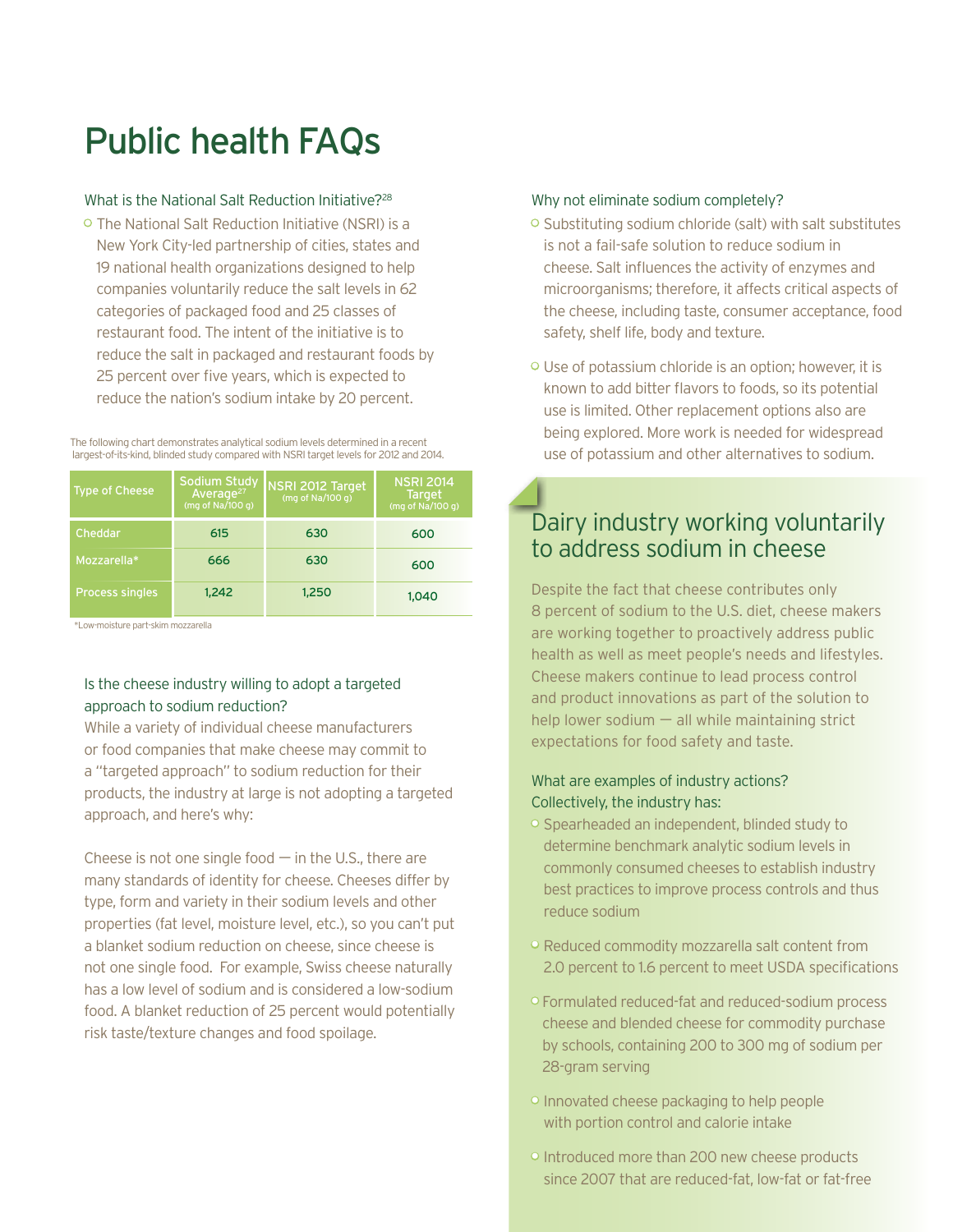# Public health FAQs

#### What is the National Salt Reduction Initiative?<sup>28</sup>

• The National Salt Reduction Initiative (NSRI) is a New York City-led partnership of cities, states and 19 national health organizations designed to help companies voluntarily reduce the salt levels in 62 categories of packaged food and 25 classes of restaurant food. The intent of the initiative is to reduce the salt in packaged and restaurant foods by 25 percent over five years, which is expected to reduce the nation's sodium intake by 20 percent.

The following chart demonstrates analytical sodium levels determined in a recent largest-of-its-kind, blinded study compared with NSRI target levels for 2012 and 2014.

| <b>Type of Cheese</b>  | Sodium Study<br>(mg of $Na/100q$ ) | NSRI 2012 Target<br>(mg of Na/100 g) | <b>NSRI 2014</b><br><b>Target</b><br>(mg of $Na/100q$ ) |
|------------------------|------------------------------------|--------------------------------------|---------------------------------------------------------|
| Cheddar                | 615                                | 630                                  | 600                                                     |
| Mozzarella*            | 666                                | 630                                  | 600                                                     |
| <b>Process singles</b> | 1.242                              | 1.250                                | 1.040                                                   |

\*Low-moisture part-skim mozzarella

#### Is the cheese industry willing to adopt a targeted approach to sodium reduction?

While a variety of individual cheese manufacturers or food companies that make cheese may commit to a "targeted approach" to sodium reduction for their products, the industry at large is not adopting a targeted approach, and here's why:

Cheese is not one single food  $-$  in the U.S., there are many standards of identity for cheese. Cheeses differ by type, form and variety in their sodium levels and other properties (fat level, moisture level, etc.), so you can't put a blanket sodium reduction on cheese, since cheese is not one single food. For example, Swiss cheese naturally has a low level of sodium and is considered a low-sodium food. A blanket reduction of 25 percent would potentially risk taste/texture changes and food spoilage.

#### Why not eliminate sodium completely?

- Substituting sodium chloride (salt) with salt substitutes is not a fail-safe solution to reduce sodium in cheese. Salt influences the activity of enzymes and microorganisms; therefore, it affects critical aspects of the cheese, including taste, consumer acceptance, food safety, shelf life, body and texture.
- Use of potassium chloride is an option; however, it is known to add bitter flavors to foods, so its potential use is limited. Other replacement options also are being explored. More work is needed for widespread use of potassium and other alternatives to sodium.

## Dairy industry working voluntarily to address sodium in cheese

Despite the fact that cheese contributes only 8 percent of sodium to the U.S. diet, cheese makers are working together to proactively address public health as well as meet people's needs and lifestyles. Cheese makers continue to lead process control and product innovations as part of the solution to help lower sodium  $-$  all while maintaining strict expectations for food safety and taste.

#### What are examples of industry actions? Collectively, the industry has:

- Spearheaded an independent, blinded study to determine benchmark analytic sodium levels in commonly consumed cheeses to establish industry best practices to improve process controls and thus reduce sodium
- Reduced commodity mozzarella salt content from 2.0 percent to 1.6 percent to meet USDA specifications
- Formulated reduced-fat and reduced-sodium process cheese and blended cheese for commodity purchase by schools, containing 200 to 300 mg of sodium per 28-gram serving
- Innovated cheese packaging to help people with portion control and calorie intake
- Introduced more than 200 new cheese products since 2007 that are reduced-fat, low-fat or fat-free